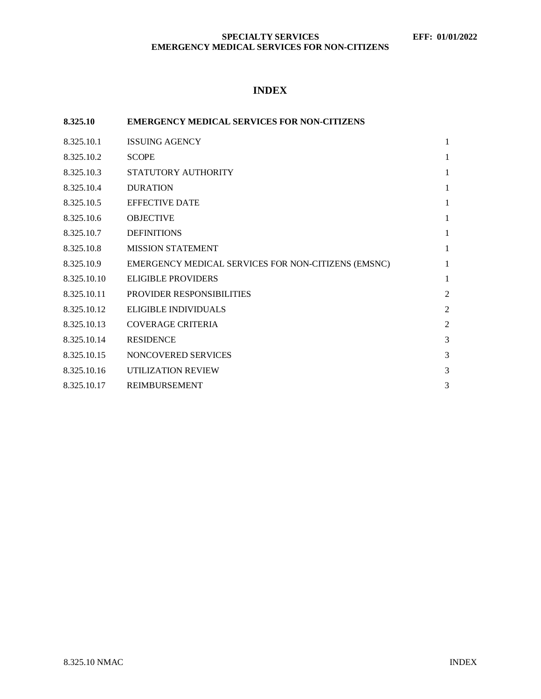# **INDEX**

| 8.325.10    | <b>EMERGENCY MEDICAL SERVICES FOR NON-CITIZENS</b>  |                |
|-------------|-----------------------------------------------------|----------------|
| 8.325.10.1  | <b>ISSUING AGENCY</b>                               | 1              |
| 8.325.10.2  | <b>SCOPE</b>                                        | 1              |
| 8.325.10.3  | STATUTORY AUTHORITY                                 | 1              |
| 8.325.10.4  | <b>DURATION</b>                                     | 1              |
| 8.325.10.5  | <b>EFFECTIVE DATE</b>                               | 1              |
| 8.325.10.6  | <b>OBJECTIVE</b>                                    | 1              |
| 8.325.10.7  | <b>DEFINITIONS</b>                                  | 1              |
| 8.325.10.8  | <b>MISSION STATEMENT</b>                            | 1              |
| 8.325.10.9  | EMERGENCY MEDICAL SERVICES FOR NON-CITIZENS (EMSNC) | 1              |
| 8.325.10.10 | ELIGIBLE PROVIDERS                                  | $\mathbf{1}$   |
| 8.325.10.11 | <b>PROVIDER RESPONSIBILITIES</b>                    | $\overline{2}$ |
| 8.325.10.12 | ELIGIBLE INDIVIDUALS                                | $\overline{2}$ |
| 8.325.10.13 | <b>COVERAGE CRITERIA</b>                            | $\overline{2}$ |
| 8.325.10.14 | <b>RESIDENCE</b>                                    | 3              |
| 8.325.10.15 | NONCOVERED SERVICES                                 | 3              |
| 8.325.10.16 | UTILIZATION REVIEW                                  | 3              |
| 8.325.10.17 | <b>REIMBURSEMENT</b>                                | 3              |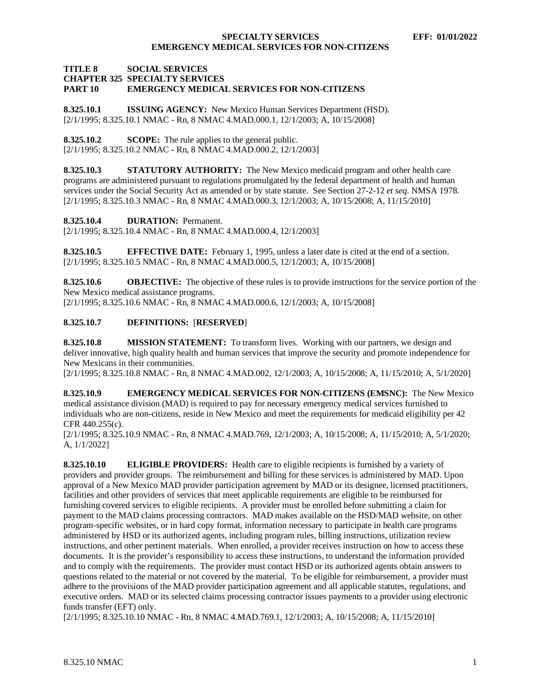### **TITLE 8 SOCIAL SERVICES CHAPTER 325 SPECIALTY SERVICES EMERGENCY MEDICAL SERVICES FOR NON-CITIZENS**

<span id="page-1-0"></span>**8.325.10.1 ISSUING AGENCY:** New Mexico Human Services Department (HSD). [2/1/1995; 8.325.10.1 NMAC - Rn, 8 NMAC 4.MAD.000.1, 12/1/2003; A, 10/15/2008]

<span id="page-1-1"></span>**8.325.10.2 SCOPE:** The rule applies to the general public. [2/1/1995; 8.325.10.2 NMAC - Rn, 8 NMAC 4.MAD.000.2, 12/1/2003]

<span id="page-1-2"></span>**8.325.10.3 STATUTORY AUTHORITY:** The New Mexico medicaid program and other health care programs are administered pursuant to regulations promulgated by the federal department of health and human services under the Social Security Act as amended or by state statute. See Section 27-2-12 *et seq*. NMSA 1978. [2/1/1995; 8.325.10.3 NMAC - Rn, 8 NMAC 4.MAD.000.3, 12/1/2003; A, 10/15/2008; A, 11/15/2010]

<span id="page-1-3"></span>**8.325.10.4 DURATION:** Permanent.

[2/1/1995; 8.325.10.4 NMAC - Rn, 8 NMAC 4.MAD.000.4, 12/1/2003]

<span id="page-1-4"></span>**8.325.10.5 EFFECTIVE DATE:** February 1, 1995, unless a later date is cited at the end of a section. [2/1/1995; 8.325.10.5 NMAC - Rn, 8 NMAC 4.MAD.000.5, 12/1/2003; A, 10/15/2008]

<span id="page-1-5"></span>**8.325.10.6 OBJECTIVE:** The objective of these rules is to provide instructions for the service portion of the New Mexico medical assistance programs. [2/1/1995; 8.325.10.6 NMAC - Rn, 8 NMAC 4.MAD.000.6, 12/1/2003; A, 10/15/2008]

# <span id="page-1-6"></span>**8.325.10.7 DEFINITIONS:** [**RESERVED**]

<span id="page-1-7"></span>**8.325.10.8 MISSION STATEMENT:** To transform lives. Working with our partners, we design and deliver innovative, high quality health and human services that improve the security and promote independence for New Mexicans in their communities.

[2/1/1995; 8.325.10.8 NMAC - Rn, 8 NMAC 4.MAD.002, 12/1/2003; A, 10/15/2008; A, 11/15/2010; A, 5/1/2020]

<span id="page-1-8"></span>**8.325.10.9 EMERGENCY MEDICAL SERVICES FOR NON-CITIZENS (EMSNC):** The New Mexico medical assistance division (MAD) is required to pay for necessary emergency medical services furnished to individuals who are non-citizens, reside in New Mexico and meet the requirements for medicaid eligibility per 42 CFR 440.255(c).

[2/1/1995; 8.325.10.9 NMAC - Rn, 8 NMAC 4.MAD.769, 12/1/2003; A, 10/15/2008; A, 11/15/2010; A, 5/1/2020; A, 1/1/2022]

<span id="page-1-9"></span>**8.325.10.10 ELIGIBLE PROVIDERS:** Health care to eligible recipients is furnished by a variety of providers and provider groups. The reimbursement and billing for these services is administered by MAD. Upon approval of a New Mexico MAD provider participation agreement by MAD or its designee, licensed practitioners, facilities and other providers of services that meet applicable requirements are eligible to be reimbursed for furnishing covered services to eligible recipients. A provider must be enrolled before submitting a claim for payment to the MAD claims processing contractors. MAD makes available on the HSD/MAD website, on other program-specific websites, or in hard copy format, information necessary to participate in health care programs administered by HSD or its authorized agents, including program rules, billing instructions, utilization review instructions, and other pertinent materials. When enrolled, a provider receives instruction on how to access these documents. It is the provider's responsibility to access these instructions, to understand the information provided and to comply with the requirements. The provider must contact HSD or its authorized agents obtain answers to questions related to the material or not covered by the material. To be eligible for reimbursement, a provider must adhere to the provisions of the MAD provider participation agreement and all applicable statutes, regulations, and executive orders. MAD or its selected claims processing contractor issues payments to a provider using electronic funds transfer (EFT) only.

[2/1/1995; 8.325.10.10 NMAC - Rn, 8 NMAC 4.MAD.769.1, 12/1/2003; A, 10/15/2008; A, 11/15/2010]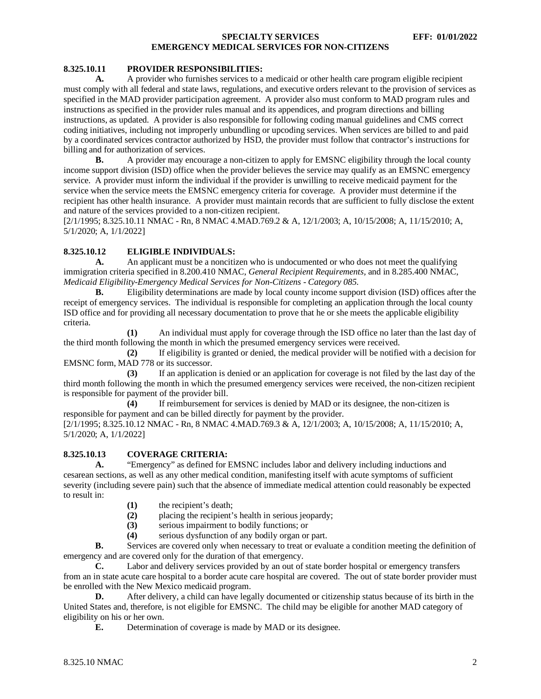# <span id="page-2-0"></span>**8.325.10.11 PROVIDER RESPONSIBILITIES:**

**A.** A provider who furnishes services to a medicaid or other health care program eligible recipient must comply with all federal and state laws, regulations, and executive orders relevant to the provision of services as specified in the MAD provider participation agreement. A provider also must conform to MAD program rules and instructions as specified in the provider rules manual and its appendices, and program directions and billing instructions, as updated. A provider is also responsible for following coding manual guidelines and CMS correct coding initiatives, including not improperly unbundling or upcoding services. When services are billed to and paid by a coordinated services contractor authorized by HSD, the provider must follow that contractor's instructions for billing and for authorization of services.

**B.** A provider may encourage a non-citizen to apply for EMSNC eligibility through the local county income support division (ISD) office when the provider believes the service may qualify as an EMSNC emergency service. A provider must inform the individual if the provider is unwilling to receive medicaid payment for the service when the service meets the EMSNC emergency criteria for coverage. A provider must determine if the recipient has other health insurance. A provider must maintain records that are sufficient to fully disclose the extent and nature of the services provided to a non-citizen recipient.

[2/1/1995; 8.325.10.11 NMAC - Rn, 8 NMAC 4.MAD.769.2 & A, 12/1/2003; A, 10/15/2008; A, 11/15/2010; A, 5/1/2020; A, 1/1/2022]

# <span id="page-2-1"></span>**8.325.10.12 ELIGIBLE INDIVIDUALS:**

**A.** An applicant must be a noncitizen who is undocumented or who does not meet the qualifying immigration criteria specified in 8.200.410 NMAC, *General Recipient Requirements,* and in 8.285.400 NMAC, *Medicaid Eligibility-Emergency Medical Services for Non-Citizens - Category 085.*

**B.** Eligibility determinations are made by local county income support division (ISD) offices after the receipt of emergency services. The individual is responsible for completing an application through the local county ISD office and for providing all necessary documentation to prove that he or she meets the applicable eligibility criteria.

**(1)** An individual must apply for coverage through the ISD office no later than the last day of the third month following the month in which the presumed emergency services were received.

**(2)** If eligibility is granted or denied, the medical provider will be notified with a decision for EMSNC form, MAD 778 or its successor.

**(3)** If an application is denied or an application for coverage is not filed by the last day of the third month following the month in which the presumed emergency services were received, the non-citizen recipient is responsible for payment of the provider bill.

**(4)** If reimbursement for services is denied by MAD or its designee, the non-citizen is responsible for payment and can be billed directly for payment by the provider.

[2/1/1995; 8.325.10.12 NMAC - Rn, 8 NMAC 4.MAD.769.3 & A, 12/1/2003; A, 10/15/2008; A, 11/15/2010; A, 5/1/2020; A, 1/1/2022]

# <span id="page-2-2"></span>**8.325.10.13 COVERAGE CRITERIA:**

**A.** "Emergency" as defined for EMSNC includes labor and delivery including inductions and cesarean sections, as well as any other medical condition, manifesting itself with acute symptoms of sufficient severity (including severe pain) such that the absence of immediate medical attention could reasonably be expected to result in:

**(1)** the recipient's death;

(2) placing the recipient's health in serious jeopardy;<br>(3) serious impairment to bodily functions: or

**(3)** serious impairment to bodily functions; or

**(4)** serious dysfunction of any bodily organ or part.

**B.** Services are covered only when necessary to treat or evaluate a condition meeting the definition of emergency and are covered only for the duration of that emergency.

**C.** Labor and delivery services provided by an out of state border hospital or emergency transfers from an in state acute care hospital to a border acute care hospital are covered. The out of state border provider must be enrolled with the New Mexico medicaid program.

**D.** After delivery, a child can have legally documented or citizenship status because of its birth in the United States and, therefore, is not eligible for EMSNC. The child may be eligible for another MAD category of eligibility on his or her own.

**E.** Determination of coverage is made by MAD or its designee.